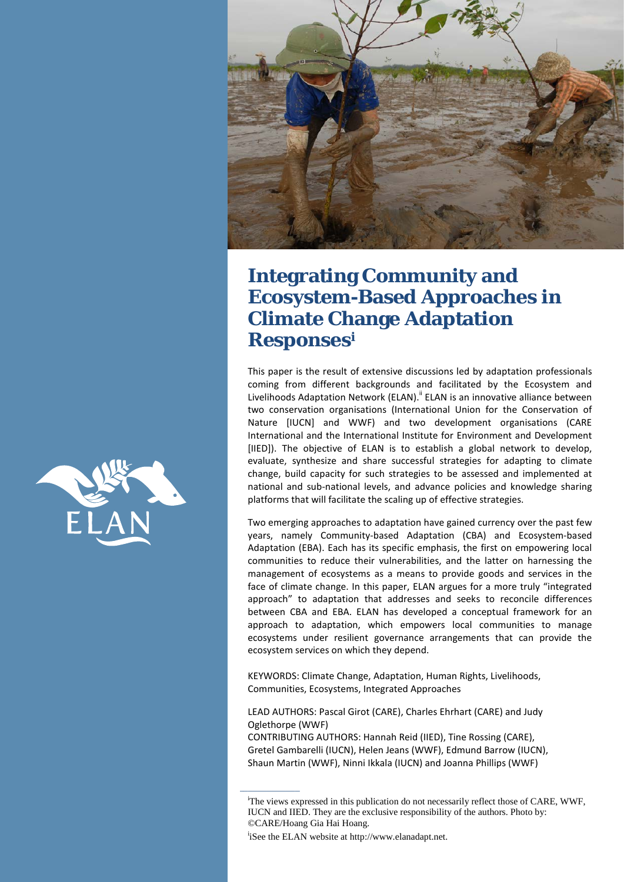

# **Integrating Community and Ecosystem-Based Approaches in Climate Change Adaptation Responsesi**

This paper is the result of extensive discussions led by adaptation professionals coming from different backgrounds and facilitated by the Ecosystem and Livelihoods Adaptation Network (ELAN).<sup>ii</sup> ELAN is an innovative alliance between two conservation organisations (International Union for the Conservation of Nature [IUCN] and WWF) and two development organisations (CARE International and the International Institute for Environment and Development [IIED]). The objective of ELAN is to establish a global network to develop, evaluate, synthesize and share successful strategies for adapting to climate change, build capacity for such strategies to be assessed and implemented at national and sub-national levels, and advance policies and knowledge sharing platforms that will facilitate the scaling up of effective strategies.

Two emerging approaches to adaptation have gained currency over the past few years, namely Community-based Adaptation (CBA) and Ecosystem-based Adaptation (EBA). Each has its specific emphasis, the first on empowering local communities to reduce their vulnerabilities, and the latter on harnessing the management of ecosystems as a means to provide goods and services in the face of climate change. In this paper, ELAN argues for a more truly "integrated approach" to adaptation that addresses and seeks to reconcile differences between CBA and EBA. ELAN has developed a conceptual framework for an approach to adaptation, which empowers local communities to manage ecosystems under resilient governance arrangements that can provide the ecosystem services on which they depend.

KEYWORDS: Climate Change, Adaptation, Human Rights, Livelihoods, Communities, Ecosystems, Integrated Approaches

LEAD AUTHORS: Pascal Girot (CARE), Charles Ehrhart (CARE) and Judy Oglethorpe (WWF)

CONTRIBUTING AUTHORS: Hannah Reid (IIED), Tine Rossing (CARE), Gretel Gambarelli (IUCN), Helen Jeans (WWF), Edmund Barrow (IUCN), Shaun Martin (WWF), Ninni Ikkala (IUCN) and Joanna Phillips (WWF)

<sup>i</sup>iSee the ELAN website at http://www.elanadapt.net.



<sup>&</sup>lt;sup>i</sup>The views expressed in this publication do not necessarily reflect those of CARE, WWF, IUCN and IIED. They are the exclusive responsibility of the authors. Photo by: ©CARE/Hoang Gia Hai Hoang.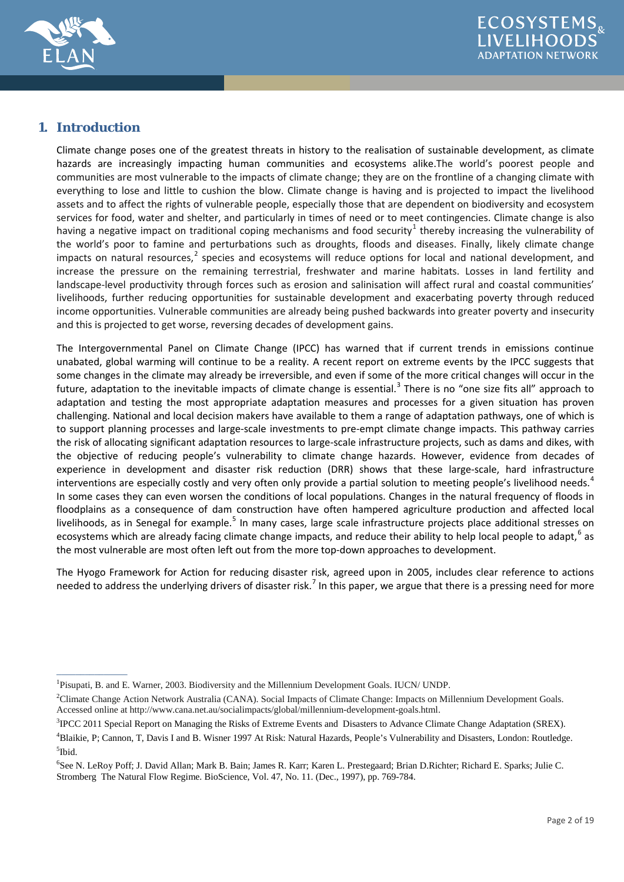

# **1. Introduction**

<span id="page-1-0"></span> $\overline{\phantom{a}}$ 

Climate change poses one of the greatest threats in history to the realisation of sustainable development, as climate hazards are increasingly impacting human communities and ecosystems alike.The world's poorest people and communities are most vulnerable to the impacts of climate change; they are on the frontline of a changing climate with everything to lose and little to cushion the blow. Climate change is having and is projected to impact the livelihood assets and to affect the rights of vulnerable people, especially those that are dependent on biodiversity and ecosystem services for food, water and shelter, and particularly in times of need or to meet contingencies. Climate change is also having a negative impact on traditional coping mechanisms and food security<sup>[1](#page-1-0)</sup> thereby increasing the vulnerability of the world's poor to famine and perturbations such as droughts, floods and diseases. Finally, likely climate change impacts on natural resources, $<sup>2</sup>$  $<sup>2</sup>$  $<sup>2</sup>$  species and ecosystems will reduce options for local and national development, and</sup> increase the pressure on the remaining terrestrial, freshwater and marine habitats. Losses in land fertility and landscape-level productivity through forces such as erosion and salinisation will affect rural and coastal communities' livelihoods, further reducing opportunities for sustainable development and exacerbating poverty through reduced income opportunities. Vulnerable communities are already being pushed backwards into greater poverty and insecurity and this is projected to get worse, reversing decades of development gains.

The Intergovernmental Panel on Climate Change (IPCC) has warned that if current trends in emissions continue unabated, global warming will continue to be a reality. A recent report on extreme events by the IPCC suggests that some changes in the climate may already be irreversible, and even if some of the more critical changes will occur in the future, adaptation to the inevitable impacts of climate change is essential.<sup>[3](#page-1-2)</sup> There is no "one size fits all" approach to adaptation and testing the most appropriate adaptation measures and processes for a given situation has proven challenging. National and local decision makers have available to them a range of adaptation pathways, one of which is to support planning processes and large-scale investments to pre-empt climate change impacts. This pathway carries the risk of allocating significant adaptation resources to large-scale infrastructure projects, such as dams and dikes, with the objective of reducing people's vulnerability to climate change hazards. However, evidence from decades of experience in development and disaster risk reduction (DRR) shows that these large-scale, hard infrastructure interventions are especially costly and very often only provide a partial solution to meeting people's livelihood needs.<sup>[4](#page-1-3)</sup> In some cases they can even worsen the conditions of local populations. Changes in the natural frequency of floods in floodplains as a consequence of dam construction have often hampered agriculture production and affected local livelihoods, as in Senegal for example.<sup>[5](#page-1-4)</sup> In many cases, large scale infrastructure projects place additional stresses on ecosystems which are already facing climate change impacts, and reduce their ability to help local people to adapt,  $6$  as the most vulnerable are most often left out from the more top-down approaches to development.

The Hyogo Framework for Action for reducing disaster risk, agreed upon in 2005, includes clear reference to actions needed to address the underlying drivers of disaster risk.<sup>[7](#page-1-6)</sup> In this paper, we argue that there is a pressing need for more

<sup>&</sup>lt;sup>1</sup>Pisupati, B. and E. Warner, 2003. Biodiversity and the Millennium Development Goals. IUCN/ UNDP.

<span id="page-1-1"></span><sup>2</sup> Climate Change Action Network Australia (CANA). Social Impacts of Climate Change: Impacts on Millennium Development Goals. Accessed online at http://www.cana.net.au/socialimpacts/global/millennium-development-goals.html.

<span id="page-1-2"></span><sup>&</sup>lt;sup>3</sup>IPCC 2011 Special Report on Managing the Risks of Extreme Events and Disasters to Advance Climate Change Adaptation (SREX).

<span id="page-1-3"></span><sup>4</sup> Blaikie, P; Cannon, T, Davis I and B. Wisner 1997 At Risk: Natural Hazards, People's Vulnerability and Disasters, London: Routledge. 5 Ibid.

<span id="page-1-6"></span><span id="page-1-5"></span><span id="page-1-4"></span><sup>6</sup> See N. LeRoy Poff; J. David Allan; Mark B. Bain; James R. Karr; Karen L. Prestegaard; Brian D.Richter; Richard E. Sparks; Julie C. Stromberg The Natural Flow Regime. BioScience, Vol. 47, No. 11. (Dec., 1997), pp. 769-784.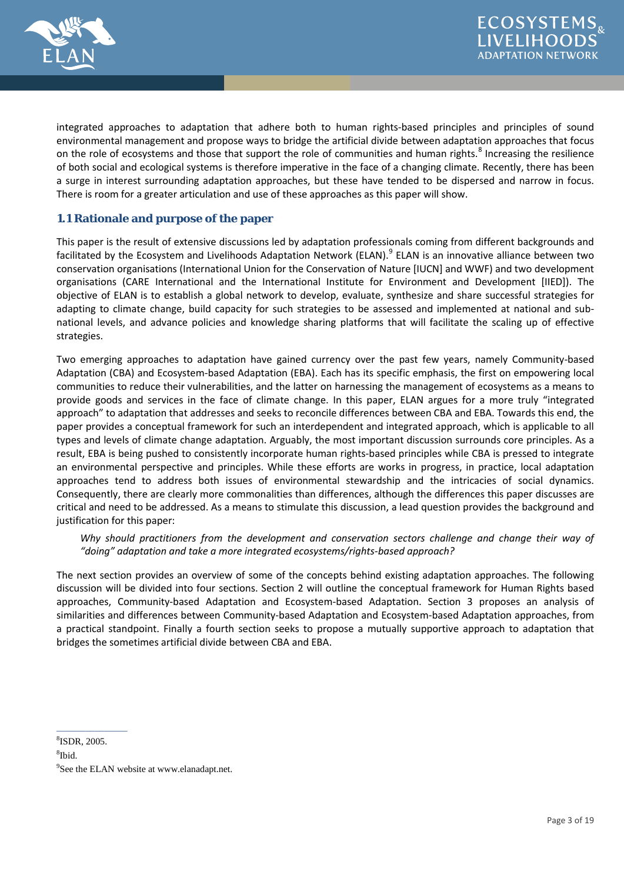

integrated approaches to adaptation that adhere both to human rights-based principles and principles of sound environmental management and propose ways to bridge the artificial divide between adaptation approaches that focus on the role of ecosystems and those that support the role of communities and human rights.<sup>[8](#page-2-0)</sup> Increasing the resilience of both social and ecological systems is therefore imperative in the face of a changing climate. Recently, there has been a surge in interest surrounding adaptation approaches, but these have tended to be dispersed and narrow in focus. There is room for a greater articulation and use of these approaches as this paper will show.

## **1.1 Rationale and purpose of the paper**

This paper is the result of extensive discussions led by adaptation professionals coming from different backgrounds and facilitated by the Ecosystem and Livelihoods Adaptation Network (ELAN).<sup>[9](#page-2-0)</sup> ELAN is an innovative alliance between two conservation organisations (International Union for the Conservation of Nature [IUCN] and WWF) and two development organisations (CARE International and the International Institute for Environment and Development [IIED]). The objective of ELAN is to establish a global network to develop, evaluate, synthesize and share successful strategies for adapting to climate change, build capacity for such strategies to be assessed and implemented at national and subnational levels, and advance policies and knowledge sharing platforms that will facilitate the scaling up of effective strategies.

Two emerging approaches to adaptation have gained currency over the past few years, namely Community-based Adaptation (CBA) and Ecosystem-based Adaptation (EBA). Each has its specific emphasis, the first on empowering local communities to reduce their vulnerabilities, and the latter on harnessing the management of ecosystems as a means to provide goods and services in the face of climate change. In this paper, ELAN argues for a more truly "integrated approach" to adaptation that addresses and seeks to reconcile differences between CBA and EBA. Towards this end, the paper provides a conceptual framework for such an interdependent and integrated approach, which is applicable to all types and levels of climate change adaptation. Arguably, the most important discussion surrounds core principles. As a result, EBA is being pushed to consistently incorporate human rights-based principles while CBA is pressed to integrate an environmental perspective and principles. While these efforts are works in progress, in practice, local adaptation approaches tend to address both issues of environmental stewardship and the intricacies of social dynamics. Consequently, there are clearly more commonalities than differences, although the differences this paper discusses are critical and need to be addressed. As a means to stimulate this discussion, a lead question provides the background and justification for this paper:

*Why should practitioners from the development and conservation sectors challenge and change their way of "doing" adaptation and take a more integrated ecosystems/rights-based approach?* 

The next section provides an overview of some of the concepts behind existing adaptation approaches. The following discussion will be divided into four sections. Section 2 will outline the conceptual framework for Human Rights based approaches, Community-based Adaptation and Ecosystem-based Adaptation. Section 3 proposes an analysis of similarities and differences between Community-based Adaptation and Ecosystem-based Adaptation approaches, from a practical standpoint. Finally a fourth section seeks to propose a mutually supportive approach to adaptation that bridges the sometimes artificial divide between CBA and EBA.

8 ISDR, 2005.

<span id="page-2-0"></span> $\overline{\phantom{a}}$ 

8 Ibid.

<sup>&</sup>lt;sup>9</sup>See the ELAN website at www.elanadapt.net.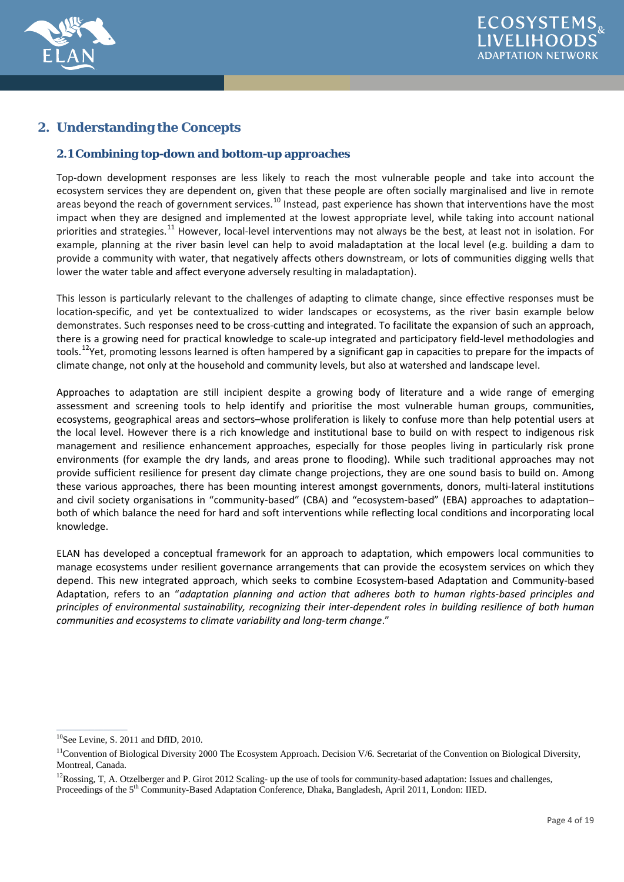

# **2. Understanding the Concepts**

# **2.1 Combining top-down and bottom-up approaches**

Top-down development responses are less likely to reach the most vulnerable people and take into account the ecosystem services they are dependent on, given that these people are often socially marginalised and live in remote areas beyond the reach of government services.<sup>[10](#page-3-0)</sup> Instead, past experience has shown that interventions have the most impact when they are designed and implemented at the lowest appropriate level, while taking into account national priorities and strategies.<sup>[11](#page-3-0)</sup> However, local-level interventions may not always be the best, at least not in isolation. For example, planning at the river basin level can help to avoid maladaptation at the local level (e.g. building a dam to provide a community with water, that negatively affects others downstream, or lots of communities digging wells that lower the water table and affect everyone adversely resulting in maladaptation).

This lesson is particularly relevant to the challenges of adapting to climate change, since effective responses must be location-specific, and yet be contextualized to wider landscapes or ecosystems, as the river basin example below demonstrates. Such responses need to be cross-cutting and integrated. To facilitate the expansion of such an approach, there is a growing need for practical knowledge to scale-up integrated and participatory field-level methodologies and tools.<sup>[12](#page-3-0)</sup>Yet, promoting lessons learned is often hampered by a significant gap in capacities to prepare for the impacts of climate change, not only at the household and community levels, but also at watershed and landscape level.

Approaches to adaptation are still incipient despite a growing body of literature and a wide range of emerging assessment and screening tools to help identify and prioritise the most vulnerable human groups, communities, ecosystems, geographical areas and sectors–whose proliferation is likely to confuse more than help potential users at the local level. However there is a rich knowledge and institutional base to build on with respect to indigenous risk management and resilience enhancement approaches, especially for those peoples living in particularly risk prone environments (for example the dry lands, and areas prone to flooding). While such traditional approaches may not provide sufficient resilience for present day climate change projections, they are one sound basis to build on. Among these various approaches, there has been mounting interest amongst governments, donors, multi-lateral institutions and civil society organisations in "community-based" (CBA) and "ecosystem-based" (EBA) approaches to adaptation– both of which balance the need for hard and soft interventions while reflecting local conditions and incorporating local knowledge.

ELAN has developed a conceptual framework for an approach to adaptation, which empowers local communities to manage ecosystems under resilient governance arrangements that can provide the ecosystem services on which they depend. This new integrated approach, which seeks to combine Ecosystem-based Adaptation and Community-based Adaptation, refers to an "*adaptation planning and action that adheres both to human rights-based principles and principles of environmental sustainability, recognizing their inter-dependent roles in building resilience of both human communities and ecosystems to climate variability and long-term change*."

<span id="page-3-0"></span><sup>&</sup>lt;sup>10</sup>See Levine, S. 2011 and DfID, 2010.

<sup>&</sup>lt;sup>11</sup>Convention of Biological Diversity 2000 The Ecosystem Approach. Decision V/6. Secretariat of the Convention on Biological Diversity, Montreal, Canada.

 $12$ Rossing, T, A. Otzelberger and P. Girot 2012 Scaling- up the use of tools for community-based adaptation: Issues and challenges,

Proceedings of the 5<sup>th</sup> Community-Based Adaptation Conference, Dhaka, Bangladesh, April 2011, London: IIED.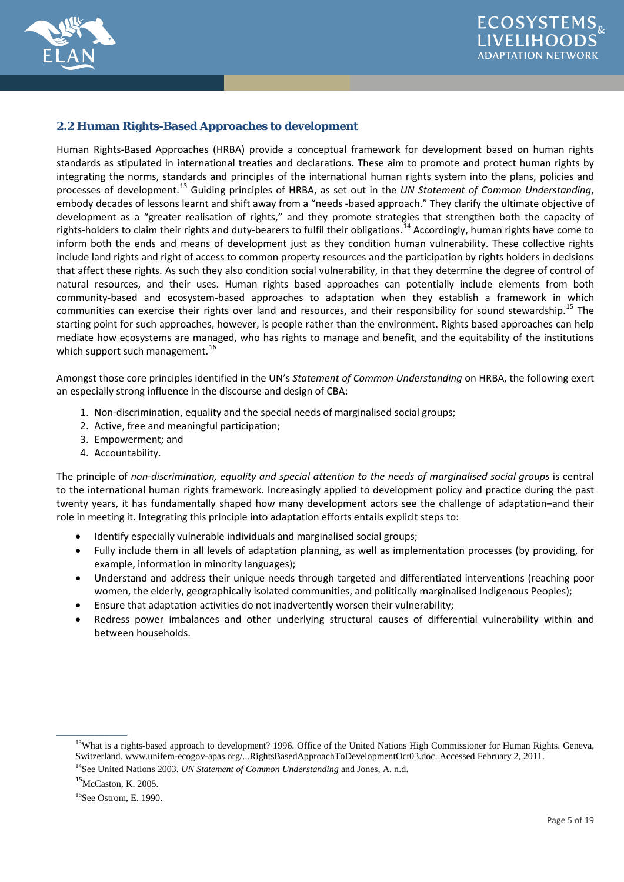



#### **2.2 Human Rights-Based Approaches to development**

Human Rights-Based Approaches (HRBA) provide a conceptual framework for development based on human rights standards as stipulated in international treaties and declarations. These aim to promote and protect human rights by integrating the norms, standards and principles of the international human rights system into the plans, policies and processes of development.[13](#page-4-0) Guiding principles of HRBA, as set out in the *UN Statement of Common Understanding*, embody decades of lessons learnt and shift away from a "needs -based approach." They clarify the ultimate objective of development as a "greater realisation of rights," and they promote strategies that strengthen both the capacity of rights-holders to claim their rights and duty-bearers to fulfil their obligations.<sup>[14](#page-4-0)</sup> Accordingly, human rights have come to inform both the ends and means of development just as they condition human vulnerability. These collective rights include land rights and right of access to common property resources and the participation by rights holders in decisions that affect these rights. As such they also condition social vulnerability, in that they determine the degree of control of natural resources, and their uses. Human rights based approaches can potentially include elements from both community-based and ecosystem-based approaches to adaptation when they establish a framework in which communities can exercise their rights over land and resources, and their responsibility for sound stewardship.<sup>[15](#page-4-0)</sup> The starting point for such approaches, however, is people rather than the environment. Rights based approaches can help mediate how ecosystems are managed, who has rights to manage and benefit, and the equitability of the institutions which support such management. $^{16}$  $^{16}$  $^{16}$ 

Amongst those core principles identified in the UN's *Statement of Common Understanding* on HRBA, the following exert an especially strong influence in the discourse and design of CBA:

- 1. Non-discrimination, equality and the special needs of marginalised social groups;
- 2. Active, free and meaningful participation;
- 3. Empowerment; and
- 4. Accountability.

The principle of *non-discrimination, equality and special attention to the needs of marginalised social groups* is central to the international human rights framework. Increasingly applied to development policy and practice during the past twenty years, it has fundamentally shaped how many development actors see the challenge of adaptation–and their role in meeting it. Integrating this principle into adaptation efforts entails explicit steps to:

- Identify especially vulnerable individuals and marginalised social groups;
- Fully include them in all levels of adaptation planning, as well as implementation processes (by providing, for example, information in minority languages);
- Understand and address their unique needs through targeted and differentiated interventions (reaching poor women, the elderly, geographically isolated communities, and politically marginalised Indigenous Peoples);
- Ensure that adaptation activities do not inadvertently worsen their vulnerability;
- Redress power imbalances and other underlying structural causes of differential vulnerability within and between households.

<span id="page-4-0"></span><sup>&</sup>lt;sup>13</sup>What is a rights-based approach to development? 1996. Office of the United Nations High Commissioner for Human Rights. Geneva, Switzerland. www.unifem-ecogov-apas.org/...RightsBasedApproachToDevelopmentOct03.doc. Accessed February 2, 2011.

<sup>14</sup>See United Nations 2003. *UN Statement of Common Understanding* and Jones, A. n.d.

<sup>15</sup>McCaston, K. 2005.

<sup>16</sup>See Ostrom, E. 1990.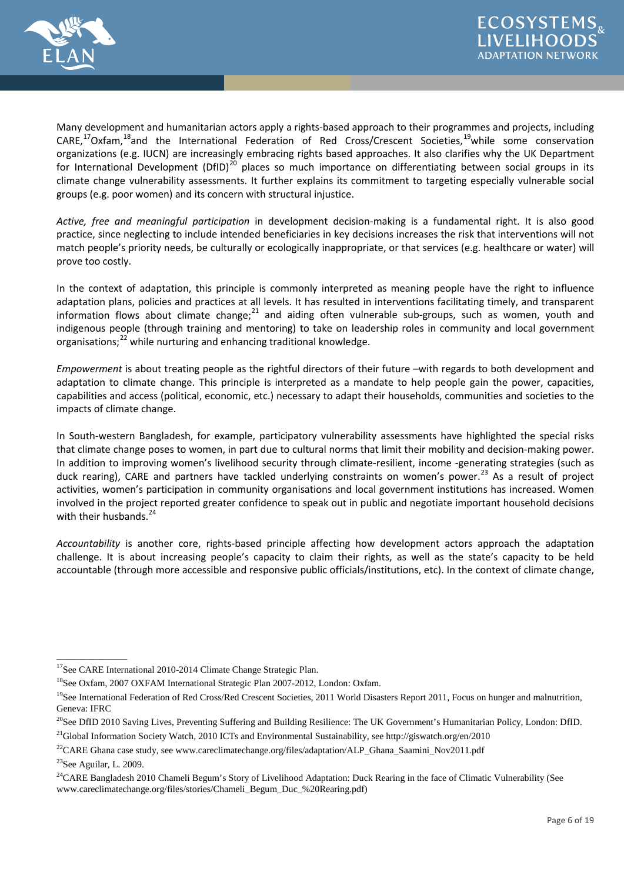

Many development and humanitarian actors apply a rights-based approach to their programmes and projects, including  $CARE, <sup>17</sup>Oxfam, <sup>18</sup>$  and the International Federation of Red Cross/Crescent Societies,  $<sup>19</sup>$  $<sup>19</sup>$  $<sup>19</sup>$ while some conservation</sup> organizations (e.g. IUCN) are increasingly embracing rights based approaches. It also clarifies why the UK Department for International Development (DfID)<sup>[20](#page-5-0)</sup> places so much importance on differentiating between social groups in its climate change vulnerability assessments. It further explains its commitment to targeting especially vulnerable social groups (e.g. poor women) and its concern with structural injustice.

*Active, free and meaningful participation* in development decision-making is a fundamental right. It is also good practice, since neglecting to include intended beneficiaries in key decisions increases the risk that interventions will not match people's priority needs, be culturally or ecologically inappropriate, or that services (e.g. healthcare or water) will prove too costly.

In the context of adaptation, this principle is commonly interpreted as meaning people have the right to influence adaptation plans, policies and practices at all levels. It has resulted in interventions facilitating timely, and transparent information flows about climate change; $^{21}$  $^{21}$  $^{21}$  and aiding often vulnerable sub-groups, such as women, youth and indigenous people (through training and mentoring) to take on leadership roles in community and local government organisations;[22](#page-5-0) while nurturing and enhancing traditional knowledge.

*Empowerment* is about treating people as the rightful directors of their future –with regards to both development and adaptation to climate change. This principle is interpreted as a mandate to help people gain the power, capacities, capabilities and access (political, economic, etc.) necessary to adapt their households, communities and societies to the impacts of climate change.

In South-western Bangladesh, for example, participatory vulnerability assessments have highlighted the special risks that climate change poses to women, in part due to cultural norms that limit their mobility and decision-making power. In addition to improving women's livelihood security through climate-resilient, income -generating strategies (such as duck rearing), CARE and partners have tackled underlying constraints on women's power.<sup>[23](#page-5-0)</sup> As a result of project activities, women's participation in community organisations and local government institutions has increased. Women involved in the project reported greater confidence to speak out in public and negotiate important household decisions with their husbands.<sup>[24](#page-5-0)</sup>

*Accountability* is another core, rights-based principle affecting how development actors approach the adaptation challenge. It is about increasing people's capacity to claim their rights, as well as the state's capacity to be held accountable (through more accessible and responsive public officials/institutions, etc). In the context of climate change,

<span id="page-5-0"></span> $\frac{1}{2}$  ,  $\frac{1}{2}$  ,  $\frac{1}{2}$  ,  $\frac{1}{2}$  ,  $\frac{1}{2}$  ,  $\frac{1}{2}$ 

<sup>&</sup>lt;sup>17</sup>See CARE International 2010-2014 Climate Change Strategic Plan.

<sup>18</sup>See Oxfam, 2007 OXFAM International Strategic Plan 2007-2012, London: Oxfam.

 $19$ See International Federation of Red Cross/Red Crescent Societies, 2011 World Disasters Report 2011, Focus on hunger and malnutrition, Geneva: IFRC

<sup>&</sup>lt;sup>20</sup>See DfID 2010 Saving Lives, Preventing Suffering and Building Resilience: The UK Government's Humanitarian Policy, London: DfID. <sup>21</sup>Global Information Society Watch, 2010 ICTs and Environmental Sustainability, see http://giswatch.org/en/2010

<sup>&</sup>lt;sup>22</sup>CARE Ghana case study, see www.careclimatechange.org/files/adaptation/ALP\_Ghana\_Saamini\_Nov2011.pdf

<sup>23</sup>See Aguilar, L. 2009.

<sup>&</sup>lt;sup>24</sup>CARE Bangladesh 2010 Chameli Begum's Story of Livelihood Adaptation: Duck Rearing in the face of Climatic Vulnerability (See www.careclimatechange.org/files/stories/Chameli\_Begum\_Duc\_%20Rearing.pdf)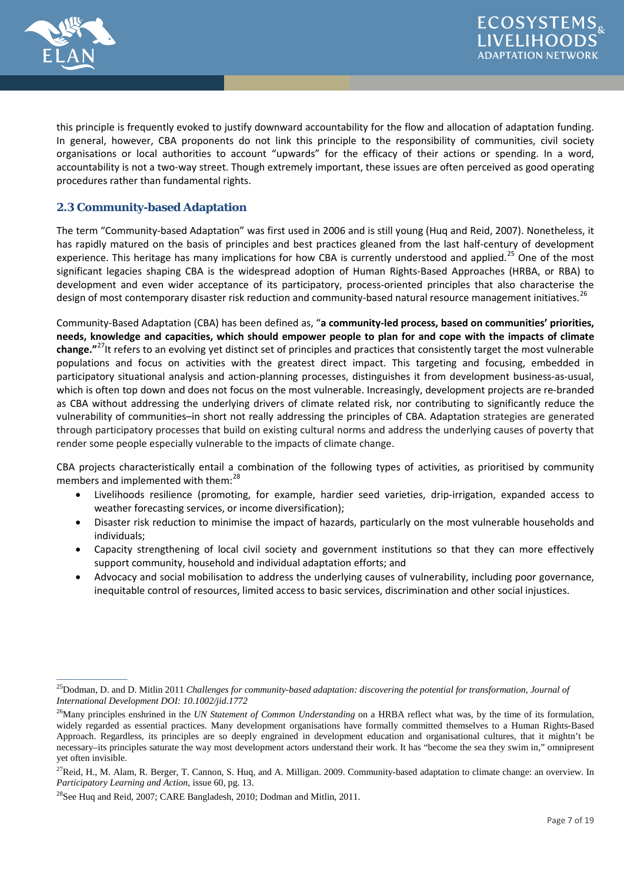

this principle is frequently evoked to justify downward accountability for the flow and allocation of adaptation funding. In general, however, CBA proponents do not link this principle to the responsibility of communities, civil society organisations or local authorities to account "upwards" for the efficacy of their actions or spending. In a word, accountability is not a two-way street. Though extremely important, these issues are often perceived as good operating procedures rather than fundamental rights.

# **2.3 Community-based Adaptation**

The term "Community-based Adaptation" was first used in 2006 and is still young (Huq and Reid, 2007). Nonetheless, it has rapidly matured on the basis of principles and best practices gleaned from the last half-century of development experience. This heritage has many implications for how CBA is currently understood and applied.<sup>[25](#page-6-0)</sup> One of the most significant legacies shaping CBA is the widespread adoption of Human Rights-Based Approaches (HRBA, or RBA) to development and even wider acceptance of its participatory, process-oriented principles that also characterise the design of most contemporary disaster risk reduction and community-based natural resource management initiatives.<sup>[26](#page-6-0)</sup>

Community-Based Adaptation (CBA) has been defined as, "**a community-led process, based on communities' priorities, needs, knowledge and capacities, which should empower people to plan for and cope with the impacts of climate change."**[27I](#page-6-0)t refers to an evolving yet distinct set of principles and practices that consistently target the most vulnerable populations and focus on activities with the greatest direct impact. This targeting and focusing, embedded in participatory situational analysis and action-planning processes, distinguishes it from development business-as-usual, which is often top down and does not focus on the most vulnerable. Increasingly, development projects are re-branded as CBA without addressing the underlying drivers of climate related risk, nor contributing to significantly reduce the vulnerability of communities–in short not really addressing the principles of CBA. Adaptation strategies are generated through participatory processes that build on existing cultural norms and address the underlying causes of poverty that render some people especially vulnerable to the impacts of climate change.

CBA projects characteristically entail a combination of the following types of activities, as prioritised by community members and implemented with them:<sup>[28](#page-6-0)</sup>

- Livelihoods resilience (promoting, for example, hardier seed varieties, drip-irrigation, expanded access to weather forecasting services, or income diversification);
- Disaster risk reduction to minimise the impact of hazards, particularly on the most vulnerable households and individuals;
- Capacity strengthening of local civil society and government institutions so that they can more effectively support community, household and individual adaptation efforts; and
- Advocacy and social mobilisation to address the underlying causes of vulnerability, including poor governance, inequitable control of resources, limited access to basic services, discrimination and other social injustices.

<span id="page-6-0"></span><sup>25</sup>Dodman, D. and D. Mitlin 2011 *Challenges for community-based adaptation: discovering the potential for transformation, Journal of International Development DOI: 10.1002/jid.1772*

<sup>&</sup>lt;sup>26</sup>Many principles enshrined in the *UN Statement of Common Understanding* on a HRBA reflect what was, by the time of its formulation, widely regarded as essential practices. Many development organisations have formally committed themselves to a Human Rights-Based Approach. Regardless, its principles are so deeply engrained in development education and organisational cultures, that it mightn't be necessary–its principles saturate the way most development actors understand their work. It has "become the sea they swim in," omnipresent yet often invisible.

 $^{27}$ Reid, H., M. Alam, R. Berger, T. Cannon, S. Huq, and A. Milligan. 2009. Community-based adaptation to climate change: an overview. In *Participatory Learning and Action*, issue 60, pg. 13.

<sup>28</sup>See Huq and Reid, 2007; CARE Bangladesh, 2010; Dodman and Mitlin, 2011.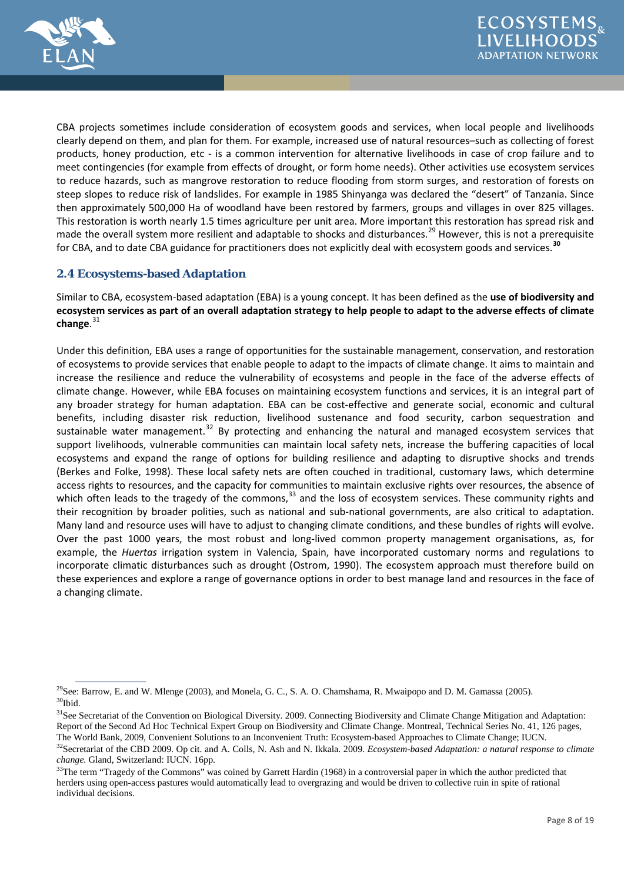

CBA projects sometimes include consideration of ecosystem goods and services, when local people and livelihoods clearly depend on them, and plan for them. For example, increased use of natural resources–such as collecting of forest products, honey production, etc - is a common intervention for alternative livelihoods in case of crop failure and to meet contingencies (for example from effects of drought, or form home needs). Other activities use ecosystem services to reduce hazards, such as mangrove restoration to reduce flooding from storm surges, and restoration of forests on steep slopes to reduce risk of landslides. For example in 1985 Shinyanga was declared the "desert" of Tanzania. Since then approximately 500,000 Ha of woodland have been restored by farmers, groups and villages in over 825 villages. This restoration is worth nearly 1.5 times agriculture per unit area. More important this restoration has spread risk and made the overall system more resilient and adaptable to shocks and disturbances.<sup>[29](#page-7-0)</sup> However, this is not a prerequisite for CBA, and to date CBA guidance for practitioners does not explicitly deal with ecosystem goods and services.**[30](#page-7-0)**

## **2.4 Ecosystems-based Adaptation**

 $\overline{\phantom{a}}$ 

Similar to CBA, ecosystem-based adaptation (EBA) is a young concept. It has been defined as the **use of biodiversity and ecosystem services as part of an overall adaptation strategy to help people to adapt to the adverse effects of climate change**. [31](#page-7-0)

Under this definition, EBA uses a range of opportunities for the sustainable management, conservation, and restoration of ecosystems to provide services that enable people to adapt to the impacts of climate change. It aims to maintain and increase the resilience and reduce the vulnerability of ecosystems and people in the face of the adverse effects of climate change. However, while EBA focuses on maintaining ecosystem functions and services, it is an integral part of any broader strategy for human adaptation. EBA can be cost-effective and generate social, economic and cultural benefits, including disaster risk reduction, livelihood sustenance and food security, carbon sequestration and sustainable water management.<sup>[32](#page-7-0)</sup> By protecting and enhancing the natural and managed ecosystem services that support livelihoods, vulnerable communities can maintain local safety nets, increase the buffering capacities of local ecosystems and expand the range of options for building resilience and adapting to disruptive shocks and trends (Berkes and Folke, 1998). These local safety nets are often couched in traditional, customary laws, which determine access rights to resources, and the capacity for communities to maintain exclusive rights over resources, the absence of which often leads to the tragedy of the commons,  $33$  and the loss of ecosystem services. These community rights and their recognition by broader polities, such as national and sub-national governments, are also critical to adaptation. Many land and resource uses will have to adjust to changing climate conditions, and these bundles of rights will evolve. Over the past 1000 years, the most robust and long-lived common property management organisations, as, for example, the *Huertas* irrigation system in Valencia, Spain, have incorporated customary norms and regulations to incorporate climatic disturbances such as drought (Ostrom, 1990). The ecosystem approach must therefore build on these experiences and explore a range of governance options in order to best manage land and resources in the face of a changing climate.

<span id="page-7-0"></span><sup>&</sup>lt;sup>29</sup>See: Barrow, E. and W. Mlenge (2003), and Monela, G. C., S. A. O. Chamshama, R. Mwaipopo and D. M. Gamassa (2005).  $30$ Ibid.

<sup>&</sup>lt;sup>31</sup>See Secretariat of the Convention on Biological Diversity. 2009. Connecting Biodiversity and Climate Change Mitigation and Adaptation: Report of the Second Ad Hoc Technical Expert Group on Biodiversity and Climate Change. Montreal, Technical Series No. 41, 126 pages, The World Bank, 2009, Convenient Solutions to an Inconvenient Truth: Ecosystem-based Approaches to Climate Change; IUCN.

<sup>&</sup>lt;sup>32</sup>Secretariat of the CBD 2009. Op cit. and A. Colls, N. Ash and N. Ikkala. 2009. *Ecosystem-based Adaptation: a natural response to climate change.* Gland, Switzerland: IUCN. 16pp.

<sup>&</sup>lt;sup>33</sup>The term "Tragedy of the Commons" was coined by Garrett Hardin (1968) in a controversial paper in which the author predicted that herders using open-access pastures would automatically lead to overgrazing and would be driven to collective ruin in spite of rational individual decisions.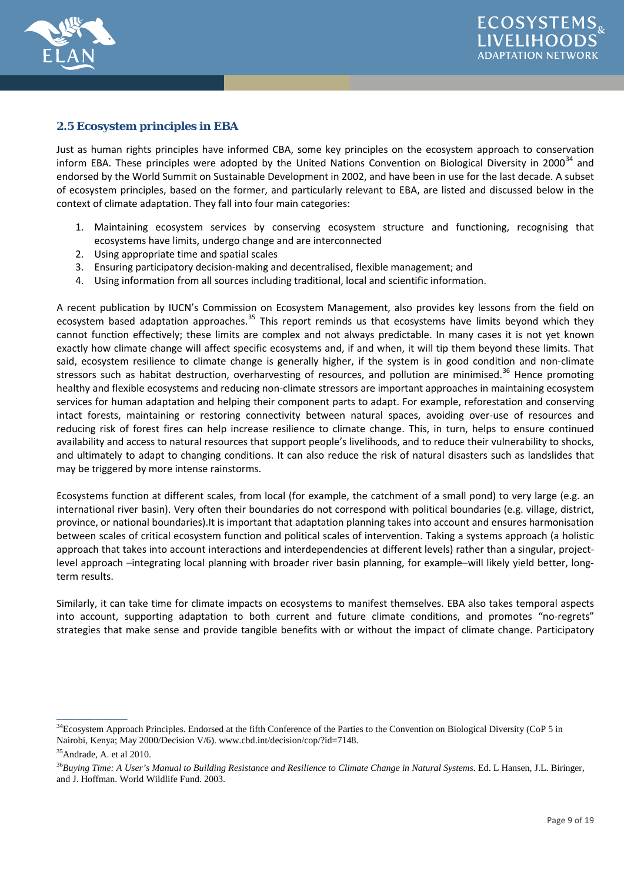

# **2.5 Ecosystem principles in EBA**

Just as human rights principles have informed CBA, some key principles on the ecosystem approach to conservation inform EBA. These principles were adopted by the United Nations Convention on Biological Diversity in 2000 $^{34}$  $^{34}$  $^{34}$  and endorsed by the World Summit on Sustainable Development in 2002, and have been in use for the last decade. A subset of ecosystem principles, based on the former, and particularly relevant to EBA, are listed and discussed below in the context of climate adaptation. They fall into four main categories:

- 1. Maintaining ecosystem services by conserving ecosystem structure and functioning, recognising that ecosystems have limits, undergo change and are interconnected
- 2. Using appropriate time and spatial scales
- 3. Ensuring participatory decision-making and decentralised, flexible management; and
- 4. Using information from all sources including traditional, local and scientific information.

A recent publication by IUCN's Commission on Ecosystem Management, also provides key lessons from the field on ecosystem based adaptation approaches.<sup>[35](#page-8-0)</sup> This report reminds us that ecosystems have limits beyond which they cannot function effectively; these limits are complex and not always predictable. In many cases it is not yet known exactly how climate change will affect specific ecosystems and, if and when, it will tip them beyond these limits. That said, ecosystem resilience to climate change is generally higher, if the system is in good condition and non-climate stressors such as habitat destruction, overharvesting of resources, and pollution are minimised.<sup>[36](#page-8-0)</sup> Hence promoting healthy and flexible ecosystems and reducing non-climate stressors are important approaches in maintaining ecosystem services for human adaptation and helping their component parts to adapt. For example, reforestation and conserving intact forests, maintaining or restoring connectivity between natural spaces, avoiding over-use of resources and reducing risk of forest fires can help increase resilience to climate change. This, in turn, helps to ensure continued availability and access to natural resources that support people's livelihoods, and to reduce their vulnerability to shocks, and ultimately to adapt to changing conditions. It can also reduce the risk of natural disasters such as landslides that may be triggered by more intense rainstorms.

Ecosystems function at different scales, from local (for example, the catchment of a small pond) to very large (e.g. an international river basin). Very often their boundaries do not correspond with political boundaries (e.g. village, district, province, or national boundaries).It is important that adaptation planning takes into account and ensures harmonisation between scales of critical ecosystem function and political scales of intervention. Taking a systems approach (a holistic approach that takes into account interactions and interdependencies at different levels) rather than a singular, projectlevel approach –integrating local planning with broader river basin planning, for example–will likely yield better, longterm results.

Similarly, it can take time for climate impacts on ecosystems to manifest themselves. EBA also takes temporal aspects into account, supporting adaptation to both current and future climate conditions, and promotes "no-regrets" strategies that make sense and provide tangible benefits with or without the impact of climate change. Participatory

<span id="page-8-0"></span><sup>&</sup>lt;sup>34</sup>Ecosystem Approach Principles. Endorsed at the fifth Conference of the Parties to the Convention on Biological Diversity (CoP 5 in Nairobi, Kenya; May 2000/Decision V/6). www.cbd.int/decision/cop/?id=7148.

<sup>&</sup>lt;sup>35</sup>Andrade, A. et al 2010.

<sup>36</sup>*Buying Time: A User's Manual to Building Resistance and Resilience to Climate Change in Natural Systems*. Ed. L Hansen, J.L. Biringer, and J. Hoffman. World Wildlife Fund. 2003.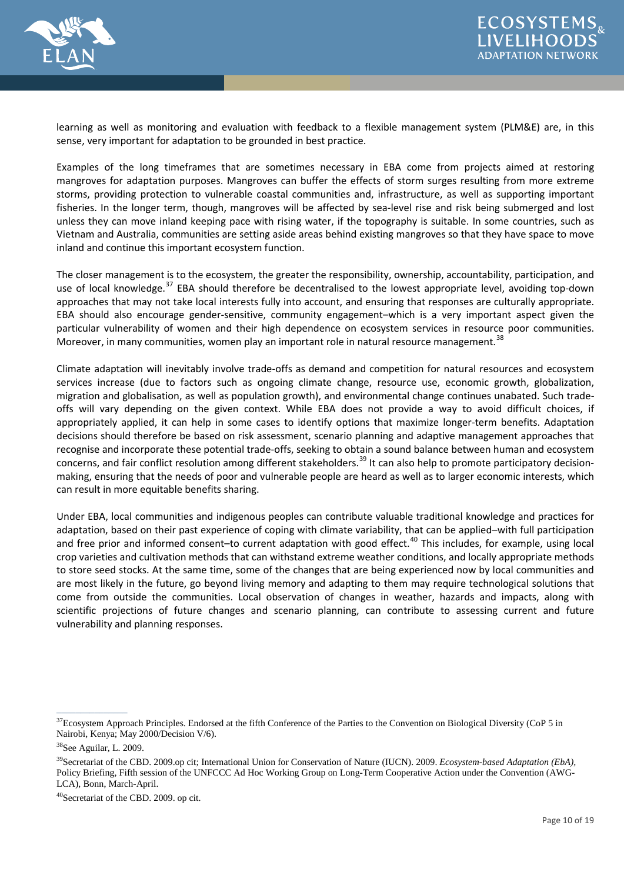

learning as well as monitoring and evaluation with feedback to a flexible management system (PLM&E) are, in this sense, very important for adaptation to be grounded in best practice.

Examples of the long timeframes that are sometimes necessary in EBA come from projects aimed at restoring mangroves for adaptation purposes. Mangroves can buffer the effects of storm surges resulting from more extreme storms, providing protection to vulnerable coastal communities and, infrastructure, as well as supporting important fisheries. In the longer term, though, mangroves will be affected by sea-level rise and risk being submerged and lost unless they can move inland keeping pace with rising water, if the topography is suitable. In some countries, such as Vietnam and Australia, communities are setting aside areas behind existing mangroves so that they have space to move inland and continue this important ecosystem function.

The closer management is to the ecosystem, the greater the responsibility, ownership, accountability, participation, and use of local knowledge.<sup>[37](#page-9-0)</sup> EBA should therefore be decentralised to the lowest appropriate level, avoiding top-down approaches that may not take local interests fully into account, and ensuring that responses are culturally appropriate. EBA should also encourage gender-sensitive, community engagement–which is a very important aspect given the particular vulnerability of women and their high dependence on ecosystem services in resource poor communities. Moreover, in many communities, women play an important role in natural resource management.<sup>[38](#page-9-0)</sup>

Climate adaptation will inevitably involve trade-offs as demand and competition for natural resources and ecosystem services increase (due to factors such as ongoing climate change, resource use, economic growth, globalization, migration and globalisation, as well as population growth), and environmental change continues unabated. Such tradeoffs will vary depending on the given context. While EBA does not provide a way to avoid difficult choices, if appropriately applied, it can help in some cases to identify options that maximize longer-term benefits. Adaptation decisions should therefore be based on risk assessment, scenario planning and adaptive management approaches that recognise and incorporate these potential trade-offs, seeking to obtain a sound balance between human and ecosystem concerns, and fair conflict resolution among different stakeholders.<sup>[39](#page-9-0)</sup> It can also help to promote participatory decisionmaking, ensuring that the needs of poor and vulnerable people are heard as well as to larger economic interests, which can result in more equitable benefits sharing.

Under EBA, local communities and indigenous peoples can contribute valuable traditional knowledge and practices for adaptation, based on their past experience of coping with climate variability, that can be applied–with full participation and free prior and informed consent-to current adaptation with good effect.<sup>[40](#page-9-0)</sup> This includes, for example, using local crop varieties and cultivation methods that can withstand extreme weather conditions, and locally appropriate methods to store seed stocks. At the same time, some of the changes that are being experienced now by local communities and are most likely in the future, go beyond living memory and adapting to them may require technological solutions that come from outside the communities. Local observation of changes in weather, hazards and impacts, along with scientific projections of future changes and scenario planning, can contribute to assessing current and future vulnerability and planning responses.

<span id="page-9-0"></span> $37$ Ecosystem Approach Principles. Endorsed at the fifth Conference of the Parties to the Convention on Biological Diversity (CoP 5 in Nairobi, Kenya; May 2000/Decision V/6).

<sup>38</sup>See Aguilar, L. 2009.

<sup>39</sup>Secretariat of the CBD. 2009.op cit; International Union for Conservation of Nature (IUCN). 2009. *Ecosystem-based Adaptation (EbA),* Policy Briefing, Fifth session of the UNFCCC Ad Hoc Working Group on Long-Term Cooperative Action under the Convention (AWG-LCA), Bonn, March-April.

<sup>40</sup>Secretariat of the CBD. 2009. op cit.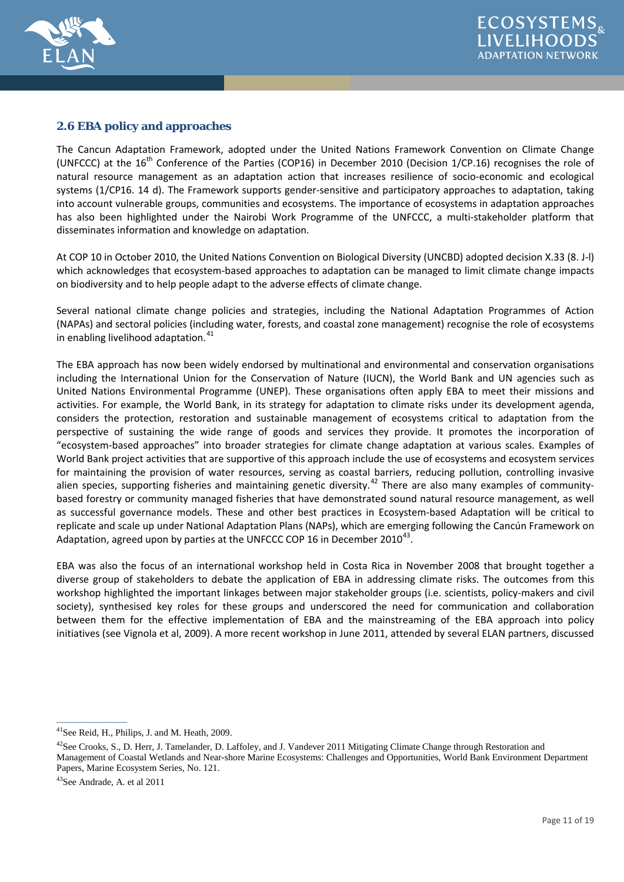



#### **2.6 EBA policy and approaches**

The Cancun Adaptation Framework, adopted under the United Nations Framework Convention on Climate Change (UNFCCC) at the 16<sup>th</sup> Conference of the Parties (COP16) in December 2010 (Decision 1/CP.16) recognises the role of natural resource management as an adaptation action that increases resilience of socio-economic and ecological systems (1/CP16. 14 d). The Framework supports gender-sensitive and participatory approaches to adaptation, taking into account vulnerable groups, communities and ecosystems. The importance of ecosystems in adaptation approaches has also been highlighted under the Nairobi Work Programme of the UNFCCC, a multi-stakeholder platform that disseminates information and knowledge on adaptation.

At COP 10 in October 2010, the United Nations Convention on Biological Diversity (UNCBD) adopted decision X.33 (8. J-l) which acknowledges that ecosystem-based approaches to adaptation can be managed to limit climate change impacts on biodiversity and to help people adapt to the adverse effects of climate change.

Several national climate change policies and strategies, including the National Adaptation Programmes of Action (NAPAs) and sectoral policies (including water, forests, and coastal zone management) recognise the role of ecosystems in enabling livelihood adaptation.<sup>[41](#page-10-0)</sup>

The EBA approach has now been widely endorsed by multinational and environmental and conservation organisations including the International Union for the Conservation of Nature (IUCN), the World Bank and UN agencies such as United Nations Environmental Programme (UNEP). These organisations often apply EBA to meet their missions and activities. For example, the World Bank, in its strategy for adaptation to climate risks under its development agenda, considers the protection, restoration and sustainable management of ecosystems critical to adaptation from the perspective of sustaining the wide range of goods and services they provide. It promotes the incorporation of "ecosystem-based approaches" into broader strategies for climate change adaptation at various scales. Examples of World Bank project activities that are supportive of this approach include the use of ecosystems and ecosystem services for maintaining the provision of water resources, serving as coastal barriers, reducing pollution, controlling invasive alien species, supporting fisheries and maintaining genetic diversity.<sup>[42](#page-10-0)</sup> There are also many examples of communitybased forestry or community managed fisheries that have demonstrated sound natural resource management, as well as successful governance models. These and other best practices in Ecosystem-based Adaptation will be critical to replicate and scale up under National Adaptation Plans (NAPs), which are emerging following the Cancún Framework on Adaptation, agreed upon by parties at the UNFCCC COP 16 in December 2010<sup>43</sup>.

EBA was also the focus of an international workshop held in Costa Rica in November 2008 that brought together a diverse group of stakeholders to debate the application of EBA in addressing climate risks. The outcomes from this workshop highlighted the important linkages between major stakeholder groups (i.e. scientists, policy-makers and civil society), synthesised key roles for these groups and underscored the need for communication and collaboration between them for the effective implementation of EBA and the mainstreaming of the EBA approach into policy initiatives (see Vignola et al, 2009). A more recent workshop in June 2011, attended by several ELAN partners, discussed

<span id="page-10-0"></span><sup>41</sup>See Reid, H., Philips, J. and M. Heath, 2009.

<sup>&</sup>lt;sup>42</sup>See Crooks, S., D. Herr, J. Tamelander, D. Laffoley, and J. Vandever 2011 Mitigating Climate Change through Restoration and Management of Coastal Wetlands and Near-shore Marine Ecosystems: Challenges and Opportunities, World Bank Environment Department Papers, Marine Ecosystem Series, No. 121.

<sup>43</sup>See Andrade, A. et al 2011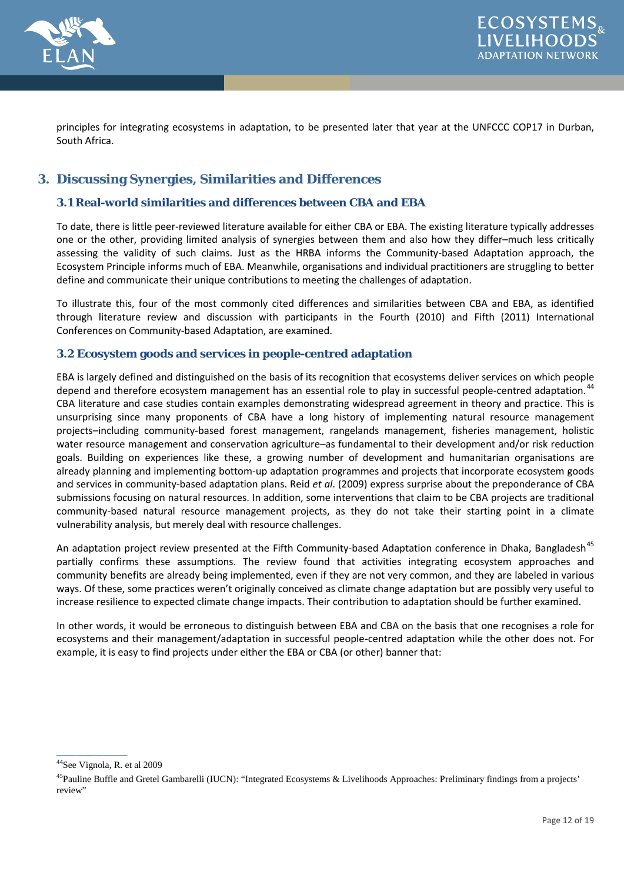

principles for integrating ecosystems in adaptation, to be presented later that year at the UNFCCC COP17 in Durban, South Africa.

# **3. Discussing Synergies, Similarities and Differences**

#### **3.1 Real-world similarities and differences between CBA and EBA**

To date, there is little peer-reviewed literature available for either CBA or EBA. The existing literature typically addresses one or the other, providing limited analysis of synergies between them and also how they differ–much less critically assessing the validity of such claims. Just as the HRBA informs the Community-based Adaptation approach, the Ecosystem Principle informs much of EBA. Meanwhile, organisations and individual practitioners are struggling to better define and communicate their unique contributions to meeting the challenges of adaptation.

To illustrate this, four of the most commonly cited differences and similarities between CBA and EBA, as identified through literature review and discussion with participants in the Fourth (2010) and Fifth (2011) International Conferences on Community-based Adaptation, are examined.

#### **3.2 Ecosystem goods and services in people-centred adaptation**

EBA is largely defined and distinguished on the basis of its recognition that ecosystems deliver services on which people depend and therefore ecosystem management has an essential role to play in successful people-centred adaptation.<sup>[44](#page-11-0)</sup> CBA literature and case studies contain examples demonstrating widespread agreement in theory and practice. This is unsurprising since many proponents of CBA have a long history of implementing natural resource management projects–including community-based forest management, rangelands management, fisheries management, holistic water resource management and conservation agriculture–as fundamental to their development and/or risk reduction goals. Building on experiences like these, a growing number of development and humanitarian organisations are already planning and implementing bottom-up adaptation programmes and projects that incorporate ecosystem goods and services in community-based adaptation plans. Reid *et al*. (2009) express surprise about the preponderance of CBA submissions focusing on natural resources. In addition, some interventions that claim to be CBA projects are traditional community-based natural resource management projects, as they do not take their starting point in a climate vulnerability analysis, but merely deal with resource challenges.

An adaptation project review presented at the Fifth Community-based Adaptation conference in Dhaka, Bangladesh<sup>[45](#page-11-0)</sup> partially confirms these assumptions. The review found that activities integrating ecosystem approaches and community benefits are already being implemented, even if they are not very common, and they are labeled in various ways. Of these, some practices weren't originally conceived as climate change adaptation but are possibly very useful to increase resilience to expected climate change impacts. Their contribution to adaptation should be further examined.

In other words, it would be erroneous to distinguish between EBA and CBA on the basis that one recognises a role for ecosystems and their management/adaptation in successful people-centred adaptation while the other does not. For example, it is easy to find projects under either the EBA or CBA (or other) banner that:

 $\frac{1}{2}$  ,  $\frac{1}{2}$  ,  $\frac{1}{2}$  ,  $\frac{1}{2}$  ,  $\frac{1}{2}$  ,  $\frac{1}{2}$ 

<span id="page-11-0"></span><sup>44</sup>See Vignola, R. et al 2009

<sup>&</sup>lt;sup>45</sup>Pauline Buffle and Gretel Gambarelli (IUCN): "Integrated Ecosystems & Livelihoods Approaches: Preliminary findings from a projects' review"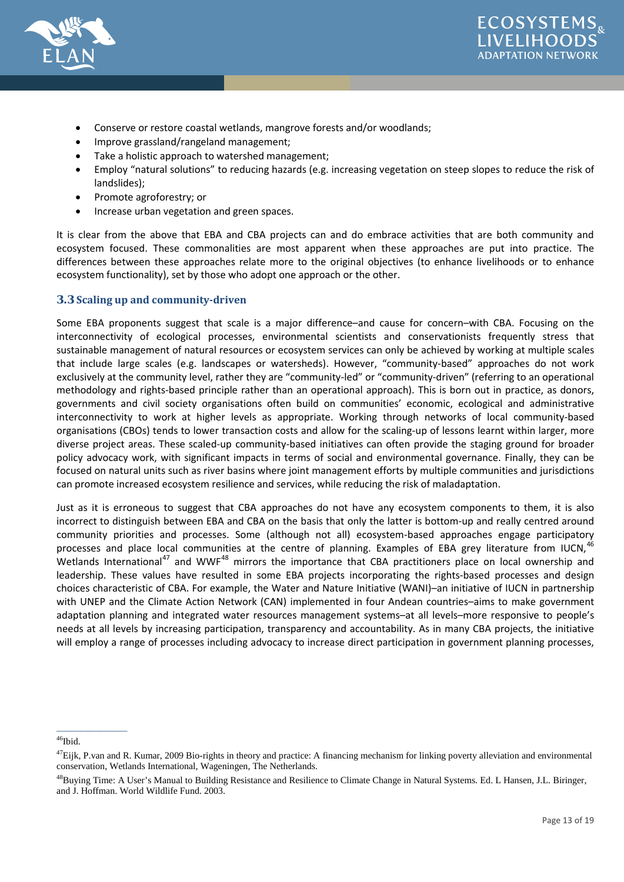



- Conserve or restore coastal wetlands, mangrove forests and/or woodlands;
- Improve grassland/rangeland management;
- Take a holistic approach to watershed management;
- Employ "natural solutions" to reducing hazards (e.g. increasing vegetation on steep slopes to reduce the risk of landslides);
- Promote agroforestry; or
- Increase urban vegetation and green spaces.

It is clear from the above that EBA and CBA projects can and do embrace activities that are both community and ecosystem focused. These commonalities are most apparent when these approaches are put into practice. The differences between these approaches relate more to the original objectives (to enhance livelihoods or to enhance ecosystem functionality), set by those who adopt one approach or the other.

#### **3.3 Scaling up and community-driven**

Some EBA proponents suggest that scale is a major difference–and cause for concern–with CBA. Focusing on the interconnectivity of ecological processes, environmental scientists and conservationists frequently stress that sustainable management of natural resources or ecosystem services can only be achieved by working at multiple scales that include large scales (e.g. landscapes or watersheds). However, "community-based" approaches do not work exclusively at the community level, rather they are "community-led" or "community-driven" (referring to an operational methodology and rights-based principle rather than an operational approach). This is born out in practice, as donors, governments and civil society organisations often build on communities' economic, ecological and administrative interconnectivity to work at higher levels as appropriate. Working through networks of local community-based organisations (CBOs) tends to lower transaction costs and allow for the scaling-up of lessons learnt within larger, more diverse project areas. These scaled-up community-based initiatives can often provide the staging ground for broader policy advocacy work, with significant impacts in terms of social and environmental governance. Finally, they can be focused on natural units such as river basins where joint management efforts by multiple communities and jurisdictions can promote increased ecosystem resilience and services, while reducing the risk of maladaptation.

Just as it is erroneous to suggest that CBA approaches do not have any ecosystem components to them, it is also incorrect to distinguish between EBA and CBA on the basis that only the latter is bottom-up and really centred around community priorities and processes. Some (although not all) ecosystem-based approaches engage participatory processes and place local communities at the centre of planning. Examples of EBA grey literature from IUCN,<sup>4</sup> Wetlands International<sup>[47](#page-12-0)</sup> and WWF<sup>[48](#page-12-0)</sup> mirrors the importance that CBA practitioners place on local ownership and leadership. These values have resulted in some EBA projects incorporating the rights-based processes and design choices characteristic of CBA. For example, the Water and Nature Initiative (WANI)–an initiative of IUCN in partnership with UNEP and the Climate Action Network (CAN) implemented in four Andean countries–aims to make government adaptation planning and integrated water resources management systems–at all levels–more responsive to people's needs at all levels by increasing participation, transparency and accountability. As in many CBA projects, the initiative will employ a range of processes including advocacy to increase direct participation in government planning processes,

<span id="page-12-0"></span> $^{46}\mathrm{Ibid.}$ 

 $^{47}$ Eijk, P.van and R. Kumar, 2009 Bio-rights in theory and practice: A financing mechanism for linking poverty alleviation and environmental conservation, Wetlands International, Wageningen, The Netherlands.

<sup>48</sup>Buying Time: A User's Manual to Building Resistance and Resilience to Climate Change in Natural Systems. Ed. L Hansen, J.L. Biringer, and J. Hoffman. World Wildlife Fund. 2003.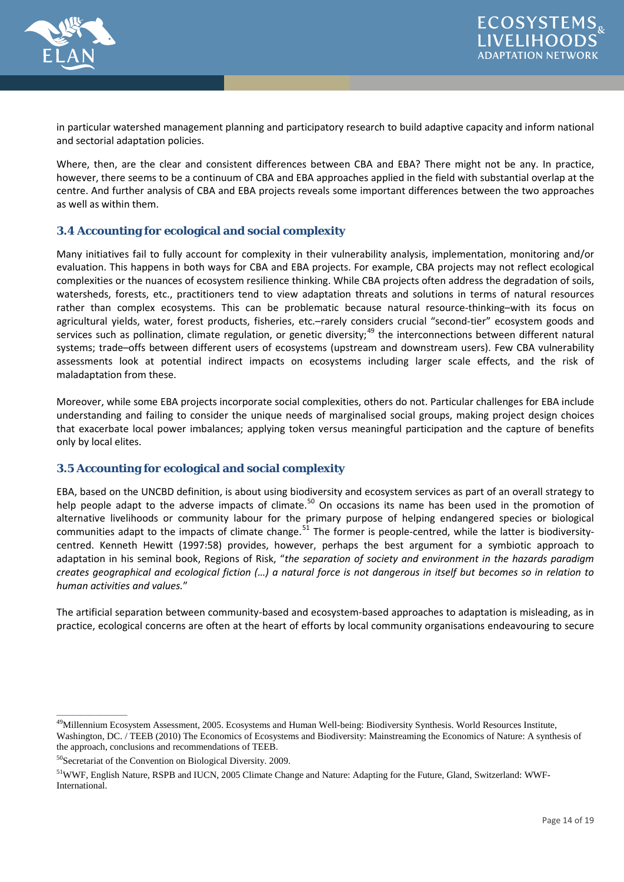

in particular watershed management planning and participatory research to build adaptive capacity and inform national and sectorial adaptation policies.

Where, then, are the clear and consistent differences between CBA and EBA? There might not be any. In practice, however, there seems to be a continuum of CBA and EBA approaches applied in the field with substantial overlap at the centre. And further analysis of CBA and EBA projects reveals some important differences between the two approaches as well as within them.

## **3.4 Accounting for ecological and social complexity**

Many initiatives fail to fully account for complexity in their vulnerability analysis, implementation, monitoring and/or evaluation. This happens in both ways for CBA and EBA projects. For example, CBA projects may not reflect ecological complexities or the nuances of ecosystem resilience thinking. While CBA projects often address the degradation of soils, watersheds, forests, etc., practitioners tend to view adaptation threats and solutions in terms of natural resources rather than complex ecosystems. This can be problematic because natural resource-thinking–with its focus on agricultural yields, water, forest products, fisheries, etc.–rarely considers crucial "second-tier" ecosystem goods and services such as pollination, climate regulation, or genetic diversity;<sup>[49](#page-13-0)</sup> the interconnections between different natural systems; trade–offs between different users of ecosystems (upstream and downstream users). Few CBA vulnerability assessments look at potential indirect impacts on ecosystems including larger scale effects, and the risk of maladaptation from these.

Moreover, while some EBA projects incorporate social complexities, others do not. Particular challenges for EBA include understanding and failing to consider the unique needs of marginalised social groups, making project design choices that exacerbate local power imbalances; applying token versus meaningful participation and the capture of benefits only by local elites.

#### **3.5 Accounting for ecological and social complexity**

EBA, based on the UNCBD definition, is about using biodiversity and ecosystem services as part of an overall strategy to help people adapt to the adverse impacts of climate.<sup>[50](#page-13-0)</sup> On occasions its name has been used in the promotion of alternative livelihoods or community labour for the primary purpose of helping endangered species or biological communities adapt to the impacts of climate change. $51$  The former is people-centred, while the latter is biodiversitycentred. Kenneth Hewitt (1997:58) provides, however, perhaps the best argument for a symbiotic approach to adaptation in his seminal book, Regions of Risk, "*the separation of society and environment in the hazards paradigm creates geographical and ecological fiction (…) a natural force is not dangerous in itself but becomes so in relation to human activities and values.*"

The artificial separation between community-based and ecosystem-based approaches to adaptation is misleading, as in practice, ecological concerns are often at the heart of efforts by local community organisations endeavouring to secure

<span id="page-13-0"></span><sup>&</sup>lt;sup>49</sup>Millennium Ecosystem Assessment, 2005. Ecosystems and Human Well-being: Biodiversity Synthesis. World Resources Institute, Washington, DC. / TEEB (2010) The Economics of Ecosystems and Biodiversity: Mainstreaming the Economics of Nature: A synthesis of the approach, conclusions and recommendations of TEEB.

<sup>50</sup>Secretariat of the Convention on Biological Diversity. 2009.

<sup>51</sup>WWF, English Nature, RSPB and IUCN, 2005 Climate Change and Nature: Adapting for the Future, Gland, Switzerland: WWF-International.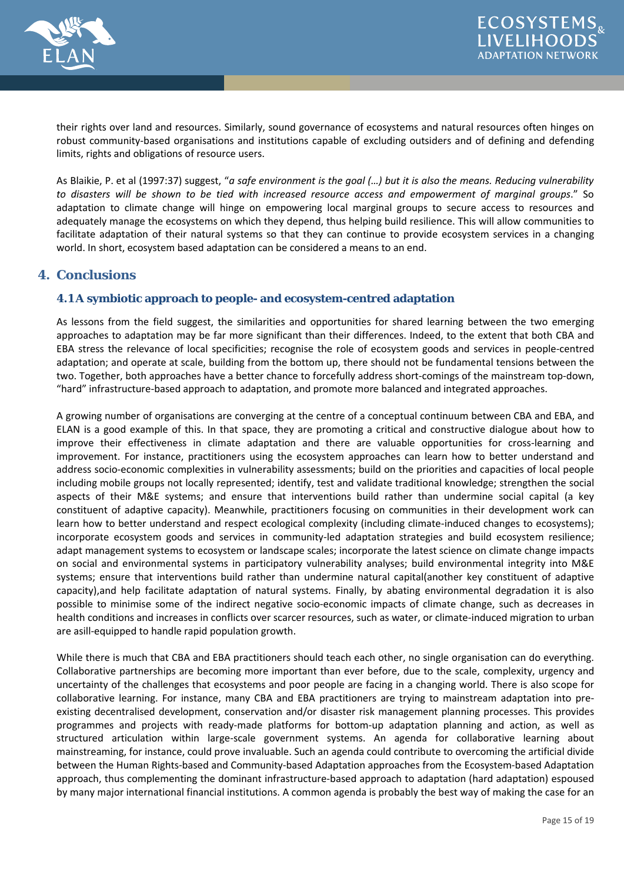

their rights over land and resources. Similarly, sound governance of ecosystems and natural resources often hinges on robust community-based organisations and institutions capable of excluding outsiders and of defining and defending limits, rights and obligations of resource users.

As Blaikie, P. et al (1997:37) suggest, "*a safe environment is the goal (…) but it is also the means. Reducing vulnerability to disasters will be shown to be tied with increased resource access and empowerment of marginal groups*." So adaptation to climate change will hinge on empowering local marginal groups to secure access to resources and adequately manage the ecosystems on which they depend, thus helping build resilience. This will allow communities to facilitate adaptation of their natural systems so that they can continue to provide ecosystem services in a changing world. In short, ecosystem based adaptation can be considered a means to an end.

# **4. Conclusions**

## **4.1 A symbiotic approach to people- and ecosystem-centred adaptation**

As lessons from the field suggest, the similarities and opportunities for shared learning between the two emerging approaches to adaptation may be far more significant than their differences. Indeed, to the extent that both CBA and EBA stress the relevance of local specificities; recognise the role of ecosystem goods and services in people-centred adaptation; and operate at scale, building from the bottom up, there should not be fundamental tensions between the two. Together, both approaches have a better chance to forcefully address short-comings of the mainstream top-down, "hard" infrastructure-based approach to adaptation, and promote more balanced and integrated approaches.

A growing number of organisations are converging at the centre of a conceptual continuum between CBA and EBA, and ELAN is a good example of this. In that space, they are promoting a critical and constructive dialogue about how to improve their effectiveness in climate adaptation and there are valuable opportunities for cross-learning and improvement. For instance, practitioners using the ecosystem approaches can learn how to better understand and address socio-economic complexities in vulnerability assessments; build on the priorities and capacities of local people including mobile groups not locally represented; identify, test and validate traditional knowledge; strengthen the social aspects of their M&E systems; and ensure that interventions build rather than undermine social capital (a key constituent of adaptive capacity). Meanwhile, practitioners focusing on communities in their development work can learn how to better understand and respect ecological complexity (including climate-induced changes to ecosystems); incorporate ecosystem goods and services in community-led adaptation strategies and build ecosystem resilience; adapt management systems to ecosystem or landscape scales; incorporate the latest science on climate change impacts on social and environmental systems in participatory vulnerability analyses; build environmental integrity into M&E systems; ensure that interventions build rather than undermine natural capital(another key constituent of adaptive capacity),and help facilitate adaptation of natural systems. Finally, by abating environmental degradation it is also possible to minimise some of the indirect negative socio-economic impacts of climate change, such as decreases in health conditions and increases in conflicts over scarcer resources, such as water, or climate-induced migration to urban are asill-equipped to handle rapid population growth.

While there is much that CBA and EBA practitioners should teach each other, no single organisation can do everything. Collaborative partnerships are becoming more important than ever before, due to the scale, complexity, urgency and uncertainty of the challenges that ecosystems and poor people are facing in a changing world. There is also scope for collaborative learning. For instance, many CBA and EBA practitioners are trying to mainstream adaptation into preexisting decentralised development, conservation and/or disaster risk management planning processes. This provides programmes and projects with ready-made platforms for bottom-up adaptation planning and action, as well as structured articulation within large-scale government systems. An agenda for collaborative learning about mainstreaming, for instance, could prove invaluable. Such an agenda could contribute to overcoming the artificial divide between the Human Rights-based and Community-based Adaptation approaches from the Ecosystem-based Adaptation approach, thus complementing the dominant infrastructure-based approach to adaptation (hard adaptation) espoused by many major international financial institutions. A common agenda is probably the best way of making the case for an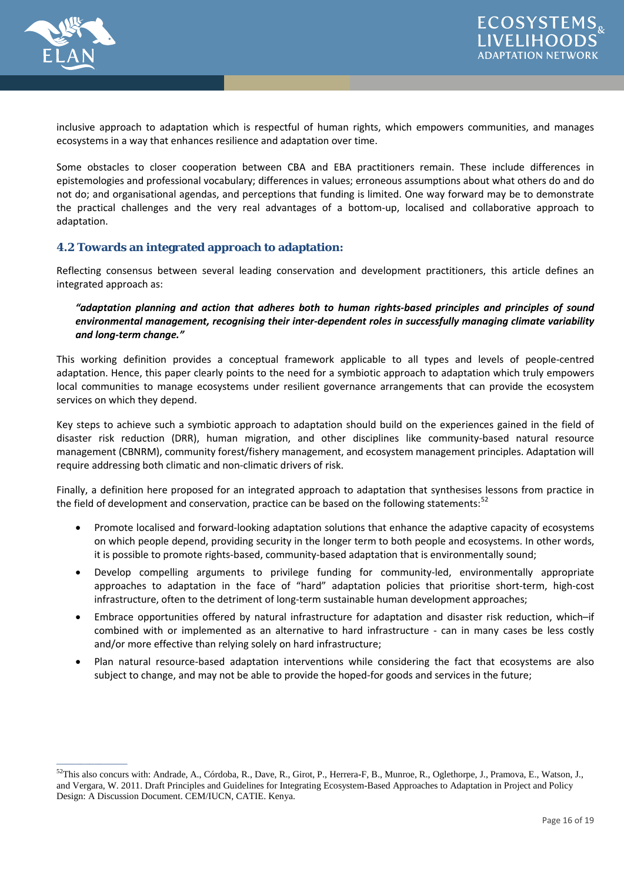

 $\overline{\phantom{a}}$ 

inclusive approach to adaptation which is respectful of human rights, which empowers communities, and manages ecosystems in a way that enhances resilience and adaptation over time.

Some obstacles to closer cooperation between CBA and EBA practitioners remain. These include differences in epistemologies and professional vocabulary; differences in values; erroneous assumptions about what others do and do not do; and organisational agendas, and perceptions that funding is limited. One way forward may be to demonstrate the practical challenges and the very real advantages of a bottom-up, localised and collaborative approach to adaptation.

## **4.2 Towards an integrated approach to adaptation:**

Reflecting consensus between several leading conservation and development practitioners, this article defines an integrated approach as:

#### *"adaptation planning and action that adheres both to human rights-based principles and principles of sound environmental management, recognising their inter-dependent roles in successfully managing climate variability and long-term change."*

This working definition provides a conceptual framework applicable to all types and levels of people-centred adaptation. Hence, this paper clearly points to the need for a symbiotic approach to adaptation which truly empowers local communities to manage ecosystems under resilient governance arrangements that can provide the ecosystem services on which they depend.

Key steps to achieve such a symbiotic approach to adaptation should build on the experiences gained in the field of disaster risk reduction (DRR), human migration, and other disciplines like community-based natural resource management (CBNRM), community forest/fishery management, and ecosystem management principles. Adaptation will require addressing both climatic and non-climatic drivers of risk.

Finally, a definition here proposed for an integrated approach to adaptation that synthesises lessons from practice in the field of development and conservation, practice can be based on the following statements:<sup>[52](#page-15-0)</sup>

- Promote localised and forward-looking adaptation solutions that enhance the adaptive capacity of ecosystems on which people depend, providing security in the longer term to both people and ecosystems. In other words, it is possible to promote rights-based, community-based adaptation that is environmentally sound;
- Develop compelling arguments to privilege funding for community-led, environmentally appropriate approaches to adaptation in the face of "hard" adaptation policies that prioritise short-term, high-cost infrastructure, often to the detriment of long-term sustainable human development approaches;
- Embrace opportunities offered by natural infrastructure for adaptation and disaster risk reduction, which–if combined with or implemented as an alternative to hard infrastructure - can in many cases be less costly and/or more effective than relying solely on hard infrastructure;
- Plan natural resource-based adaptation interventions while considering the fact that ecosystems are also subject to change, and may not be able to provide the hoped-for goods and services in the future;

<span id="page-15-0"></span><sup>&</sup>lt;sup>52</sup>This also concurs with: Andrade, A., Córdoba, R., Dave, R., Girot, P., Herrera-F, B., Munroe, R., Oglethorpe, J., Pramova, E., Watson, J., and Vergara, W. 2011. Draft Principles and Guidelines for Integrating Ecosystem-Based Approaches to Adaptation in Project and Policy Design: A Discussion Document. CEM/IUCN, CATIE. Kenya.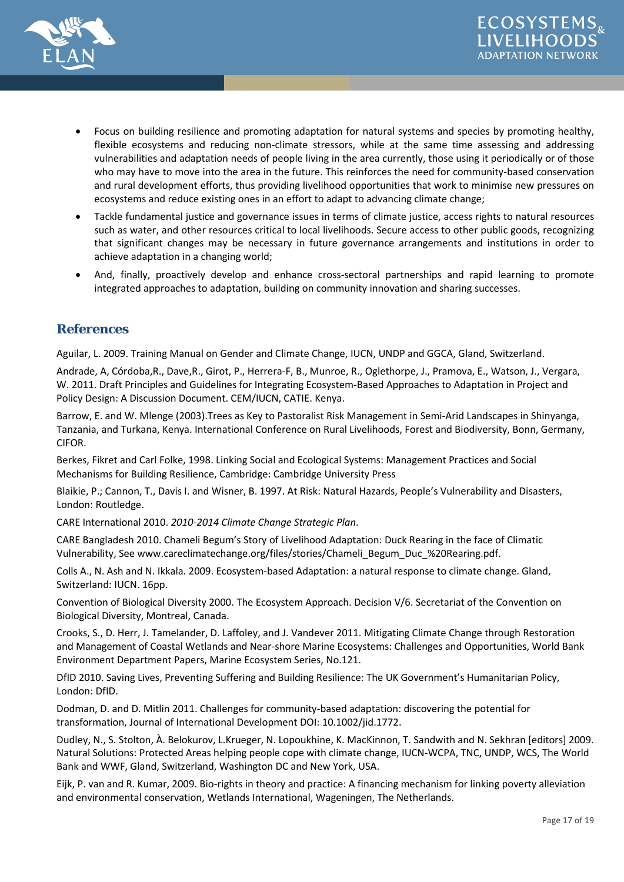



- Focus on building resilience and promoting adaptation for natural systems and species by promoting healthy, flexible ecosystems and reducing non-climate stressors, while at the same time assessing and addressing vulnerabilities and adaptation needs of people living in the area currently, those using it periodically or of those who may have to move into the area in the future. This reinforces the need for community-based conservation and rural development efforts, thus providing livelihood opportunities that work to minimise new pressures on ecosystems and reduce existing ones in an effort to adapt to advancing climate change;
- Tackle fundamental justice and governance issues in terms of climate justice, access rights to natural resources such as water, and other resources critical to local livelihoods. Secure access to other public goods, recognizing that significant changes may be necessary in future governance arrangements and institutions in order to achieve adaptation in a changing world;
- And, finally, proactively develop and enhance cross-sectoral partnerships and rapid learning to promote integrated approaches to adaptation, building on community innovation and sharing successes.

# **References**

Aguilar, L. 2009. Training Manual on Gender and Climate Change, IUCN, UNDP and GGCA, Gland, Switzerland.

Andrade, A, Córdoba,R., Dave,R., Girot, P., Herrera-F, B., Munroe, R., Oglethorpe, J., Pramova, E., Watson, J., Vergara, W. 2011. Draft Principles and Guidelines for Integrating Ecosystem-Based Approaches to Adaptation in Project and Policy Design: A Discussion Document. CEM/IUCN, CATIE. Kenya.

Barrow, E. and W. Mlenge (2003).Trees as Key to Pastoralist Risk Management in Semi-Arid Landscapes in Shinyanga, Tanzania, and Turkana, Kenya. International Conference on Rural Livelihoods, Forest and Biodiversity, Bonn, Germany, CIFOR.

Berkes, Fikret and Carl Folke, 1998. Linking Social and Ecological Systems: Management Practices and Social Mechanisms for Building Resilience, Cambridge: Cambridge University Press

Blaikie, P.; Cannon, T., Davis I. and Wisner, B. 1997. At Risk: Natural Hazards, People's Vulnerability and Disasters, London: Routledge.

CARE International 2010. *2010-2014 Climate Change Strategic Plan*.

CARE Bangladesh 2010. Chameli Begum's Story of Livelihood Adaptation: Duck Rearing in the face of Climatic Vulnerability, See [www.careclimatechange.org/files/stories/Chameli\\_Begum\\_Duc\\_%20Rearing.pdf.](http://www.careclimatechange.org/files/stories/Chameli_Begum_Duc_%20Rearing.pdf)

Colls A., N. Ash and N. Ikkala. 2009. Ecosystem-based Adaptation: a natural response to climate change. Gland, Switzerland: IUCN. 16pp.

Convention of Biological Diversity 2000. The Ecosystem Approach. Decision V/6. Secretariat of the Convention on Biological Diversity, Montreal, Canada.

Crooks, S., D. Herr, J. Tamelander, D. Laffoley, and J. Vandever 2011. Mitigating Climate Change through Restoration and Management of Coastal Wetlands and Near-shore Marine Ecosystems: Challenges and Opportunities, World Bank Environment Department Papers, Marine Ecosystem Series, No.121.

DfID 2010. Saving Lives, Preventing Suffering and Building Resilience: The UK Government's Humanitarian Policy, London: DfID.

Dodman, D. and D. Mitlin 2011. Challenges for community-based adaptation: discovering the potential for transformation, Journal of International Development DOI: 10.1002/jid.1772.

Dudley, N., S. Stolton, À. Belokurov, L.Krueger, N. Lopoukhine, K. MacKinnon, T. Sandwith and N. Sekhran [editors] 2009. Natural Solutions: Protected Areas helping people cope with climate change, IUCN-WCPA, TNC, UNDP, WCS, The World Bank and WWF, Gland, Switzerland, Washington DC and New York, USA.

Eijk, P. van and R. Kumar, 2009. Bio-rights in theory and practice: A financing mechanism for linking poverty alleviation and environmental conservation, Wetlands International, Wageningen, The Netherlands.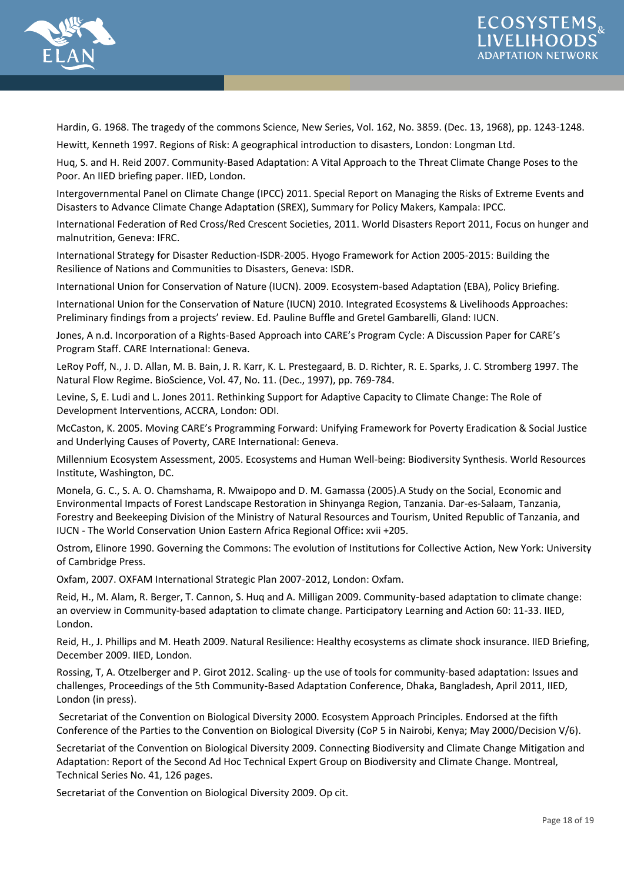



Hardin, G. 1968. The tragedy of the commons Science, New Series, Vol. 162, No. 3859. (Dec. 13, 1968), pp. 1243-1248. Hewitt, Kenneth 1997. Regions of Risk: A geographical introduction to disasters, London: Longman Ltd.

Huq, S. and H. Reid 2007. Community-Based Adaptation: A Vital Approach to the Threat Climate Change Poses to the Poor. An IIED briefing paper. IIED, London.

Intergovernmental Panel on Climate Change (IPCC) 2011. Special Report on Managing the Risks of Extreme Events and Disasters to Advance Climate Change Adaptation (SREX), Summary for Policy Makers, Kampala: IPCC.

International Federation of Red Cross/Red Crescent Societies, 2011. World Disasters Report 2011, Focus on hunger and malnutrition, Geneva: IFRC.

International Strategy for Disaster Reduction-ISDR-2005. Hyogo Framework for Action 2005-2015: Building the Resilience of Nations and Communities to Disasters, Geneva: ISDR.

International Union for Conservation of Nature (IUCN). 2009. Ecosystem-based Adaptation (EBA), Policy Briefing.

International Union for the Conservation of Nature (IUCN) 2010. Integrated Ecosystems & Livelihoods Approaches: Preliminary findings from a projects' review. Ed. Pauline Buffle and Gretel Gambarelli, Gland: IUCN.

Jones, A n.d. Incorporation of a Rights-Based Approach into CARE's Program Cycle: A Discussion Paper for CARE's Program Staff. CARE International: Geneva.

LeRoy Poff, N., J. D. Allan, M. B. Bain, J. R. Karr, K. L. Prestegaard, B. D. Richter, R. E. Sparks, J. C. Stromberg 1997. The Natural Flow Regime. BioScience, Vol. 47, No. 11. (Dec., 1997), pp. 769-784.

Levine, S, E. Ludi and L. Jones 2011. Rethinking Support for Adaptive Capacity to Climate Change: The Role of Development Interventions, ACCRA, London: ODI.

McCaston, K. 2005. Moving CARE's Programming Forward: Unifying Framework for Poverty Eradication & Social Justice and Underlying Causes of Poverty, CARE International: Geneva.

Millennium Ecosystem Assessment, 2005. Ecosystems and Human Well-being: Biodiversity Synthesis. World Resources Institute, Washington, DC.

Monela, G. C., S. A. O. Chamshama, R. Mwaipopo and D. M. Gamassa (2005).A Study on the Social, Economic and Environmental Impacts of Forest Landscape Restoration in Shinyanga Region, Tanzania. Dar-es-Salaam, Tanzania, Forestry and Beekeeping Division of the Ministry of Natural Resources and Tourism, United Republic of Tanzania, and IUCN - The World Conservation Union Eastern Africa Regional Office**:** xvii +205.

Ostrom, Elinore 1990. Governing the Commons: The evolution of Institutions for Collective Action, New York: University of Cambridge Press.

Oxfam, 2007. OXFAM International Strategic Plan 2007-2012, London: Oxfam.

Reid, H., M. Alam, R. Berger, T. Cannon, S. Huq and A. Milligan 2009. Community-based adaptation to climate change: an overview in Community-based adaptation to climate change. Participatory Learning and Action 60: 11-33. IIED, London.

Reid, H., J. Phillips and M. Heath 2009. Natural Resilience: Healthy ecosystems as climate shock insurance. IIED Briefing, December 2009. IIED, London.

Rossing, T, A. Otzelberger and P. Girot 2012. Scaling- up the use of tools for community-based adaptation: Issues and challenges, Proceedings of the 5th Community-Based Adaptation Conference, Dhaka, Bangladesh, April 2011, IIED, London (in press).

Secretariat of the Convention on Biological Diversity 2000. Ecosystem Approach Principles. Endorsed at the fifth Conference of the Parties to the Convention on Biological Diversity (CoP 5 in Nairobi, Kenya; May 2000/Decision V/6).

Secretariat of the Convention on Biological Diversity 2009. Connecting Biodiversity and Climate Change Mitigation and Adaptation: Report of the Second Ad Hoc Technical Expert Group on Biodiversity and Climate Change. Montreal, Technical Series No. 41, 126 pages.

Secretariat of the Convention on Biological Diversity 2009. Op cit.